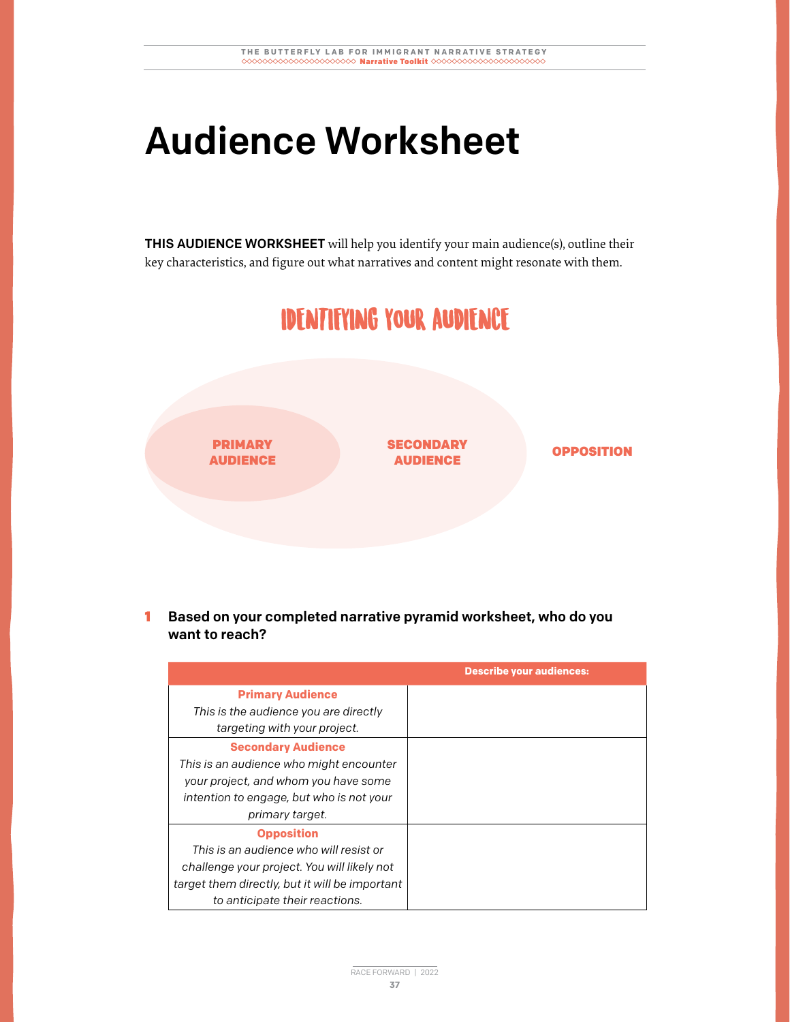## Audience Worksheet

THIS AUDIENCE WORKSHEET will help you identify your main audience(s), outline their key characteristics, and figure out what narratives and content might resonate with them.



1 Based on your completed narrative pyramid worksheet, who do you want to reach?

|                                                | <b>Describe your audiences:</b> |
|------------------------------------------------|---------------------------------|
| <b>Primary Audience</b>                        |                                 |
| This is the audience you are directly          |                                 |
| targeting with your project.                   |                                 |
| <b>Secondary Audience</b>                      |                                 |
| This is an audience who might encounter        |                                 |
| your project, and whom you have some           |                                 |
| intention to engage, but who is not your       |                                 |
| primary target.                                |                                 |
| <b>Opposition</b>                              |                                 |
| This is an audience who will resist or         |                                 |
| challenge your project. You will likely not    |                                 |
| target them directly, but it will be important |                                 |
| to anticipate their reactions.                 |                                 |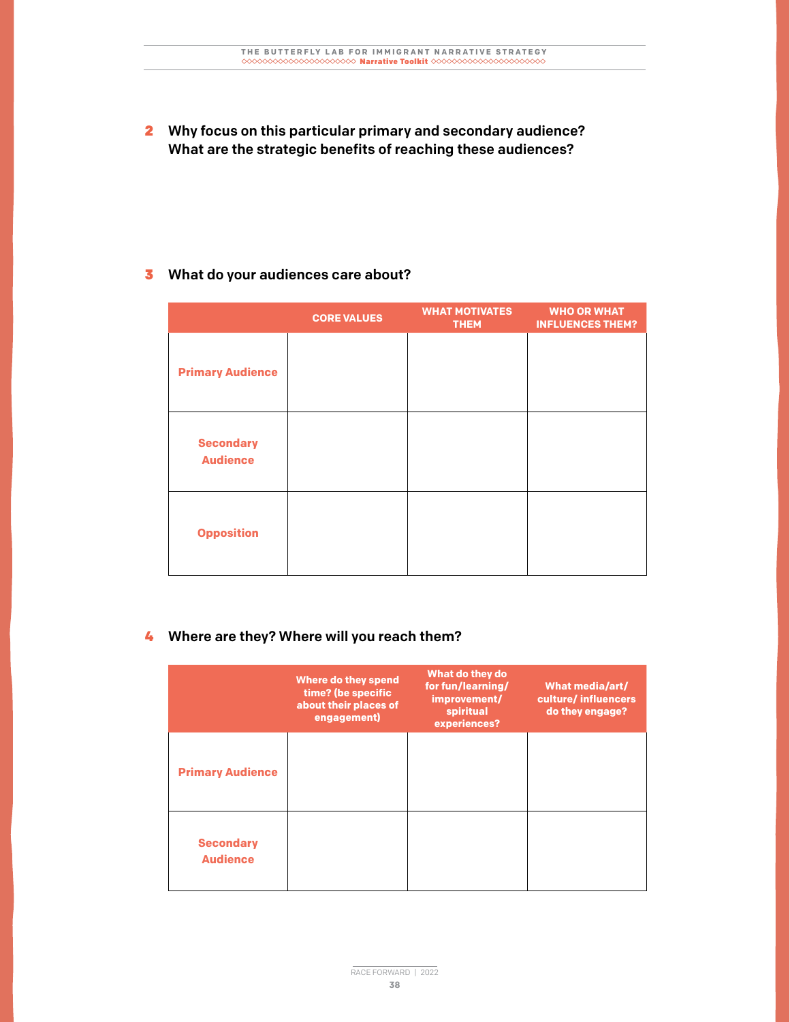2 Why focus on this particular primary and secondary audience? What are the strategic benefits of reaching these audiences?

## **3** What do your audiences care about?

|                                     | <b>CORE VALUES</b> | <b>WHAT MOTIVATES</b><br><b>THEM</b> | <b>WHO OR WHAT</b><br><b>INFLUENCES THEM?</b> |
|-------------------------------------|--------------------|--------------------------------------|-----------------------------------------------|
| <b>Primary Audience</b>             |                    |                                      |                                               |
| <b>Secondary</b><br><b>Audience</b> |                    |                                      |                                               |
| <b>Opposition</b>                   |                    |                                      |                                               |

## 4 Where are they? Where will you reach them?

|                                     | Where do they spend<br>time? (be specific<br>about their places of<br>engagement) | What do they do<br>for fun/learning/<br>improvement/<br>spiritual<br>experiences? | What media/art/<br>culture/influencers<br>do they engage? |
|-------------------------------------|-----------------------------------------------------------------------------------|-----------------------------------------------------------------------------------|-----------------------------------------------------------|
| <b>Primary Audience</b>             |                                                                                   |                                                                                   |                                                           |
| <b>Secondary</b><br><b>Audience</b> |                                                                                   |                                                                                   |                                                           |